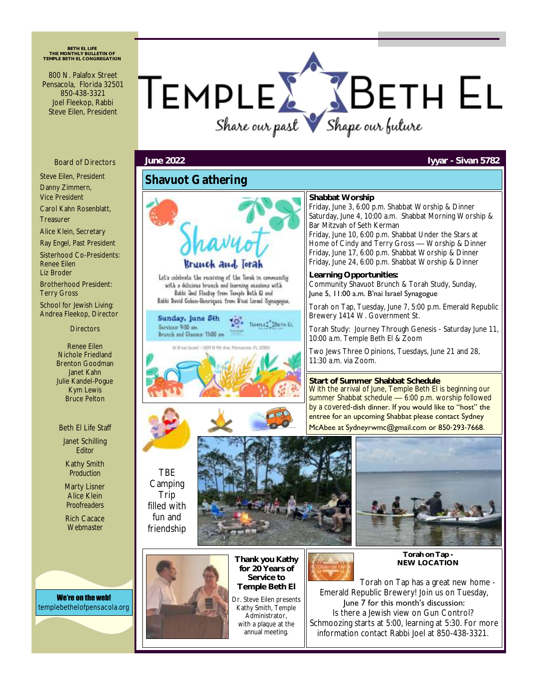**BETH EL LIFE THE MONTHLY BULLETIN OF TEMPLE BETH EL CONGREGATION**

800 N. Palafox Street Pensacola, Florida 32501 850-438-3321 Joel Fleekop, Rabbi Steve Eilen, President



#### Board of Directors

Steve Eilen, President Danny Zimmern, Vice President

Carol Kahn Rosenblatt, Treasurer

Alice Klein, Secretary

Ray Engel, Past President Sisterhood Co-Presidents: Renee Eilen Liz Broder

Brotherhood President: Terry Gross School for Jewish Living: Andrea Fleekop, Director

**Directors** 

Renee Eilen Nichole Friedland Brenton Goodman Janet Kahn Julie Kandel-Pogue Kym Lewis Bruce Pelton

#### Beth El Life Staff

Janet Schilling *Editor*

Kathy Smith *Production*

Marty Lisner Alice Klein *Proofreaders*

Rich Cacace *Webmaster*

We're on the web! templebethelofpensacola.org



Camping Trip filled with fun and friendship



Kathy Smith, Temple Administrator, with a plaque at the annual meeting.



**Torah on Tap - NEW LOCATION**

Torah on Tap has a great new home - Emerald Republic Brewery! Join us on Tuesday, June 7 for this month's discussion: Is there a Jewish view on Gun Control? Schmoozing starts at 5:00, learning at 5:30. For more information contact Rabbi Joel at 850-438-3321.

#### **June 2022 Iyyar - Sivan 5782**

## **Shavuot Gathering**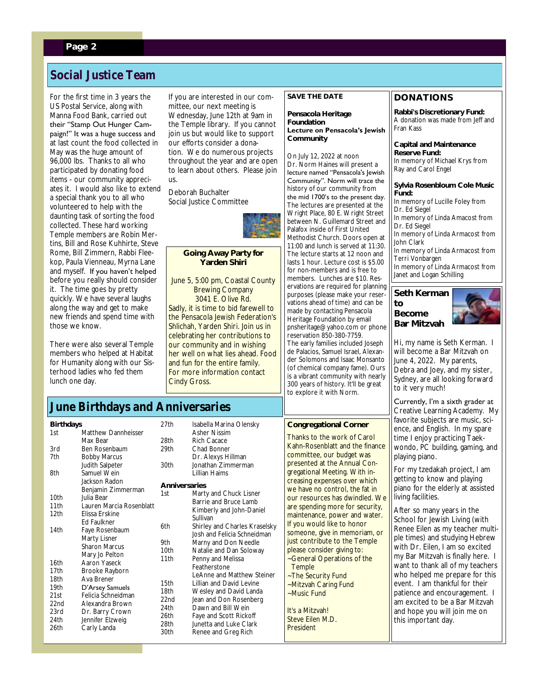### **Page 2**

## **Social Justice Team**

For the first time in 3 years the US Postal Service, along with Manna Food Bank, carried out their "Stamp Out Hunger Campaign!" It was a huge success and at last count the food collected in May was the huge amount of 96,000 lbs. Thanks to all who participated by donating food items - our community appreciates it. I would also like to extend a special thank you to all who volunteered to help with the daunting task of sorting the food collected. These hard working Temple members are Robin Mertins, Bill and Rose Kuhhirte, Steve Rome, Bill Zimmern, Rabbi Fleekop, Paula Vienneau, Myrna Lane and myself. If you haven't helped before you really should consider it. The time goes by pretty quickly. We have several laughs along the way and get to make new friends and spend time with those we know.

There were also several Temple members who helped at Habitat for Humanity along with our Sisterhood ladies who fed them lunch one day.

If you are interested in our committee, our next meeting is Wednesday, June 12th at 9am in the Temple library. If you cannot join us but would like to support our efforts consider a donation. We do numerous projects throughout the year and are open to learn about others. Please join us.

Deborah Buchalter Social Justice Committee



**Going Away Party for Yarden Shiri**

June 5, 5:00 pm, Coastal County Brewing Company 3041 E. Olive Rd. Sadly, it is time to bid farewell to the Pensacola Jewish Federation's Shlichah, Yarden Shiri. Join us in celebrating her contributions to our community and in wishing her well on what lies ahead. Food and fun for the entire family. For more information contact Cindy Gross.

**SAVE THE DATE Pensacola Heritage** 

**Foundation Lecture on Pensacola's Jewish Community**

On July 12, 2022 at noon Dr. Norm Haines will present a lecture named "Pensacola's Jewish Community". Norm will trace the history of our community from the mid 1700's to the present day. The lectures are presented at the Wright Place, 80 E. Wright Street between N. Guillemard Street and Palafox inside of First United Methodist Church. Doors open at 11:00 and lunch is served at 11:30. The lecture starts at 12 noon and lasts 1 hour. Lecture cost is \$5.00 for non-members and is free to members. Lunches are \$10. Reservations are required for planning purposes (please make your reservations ahead of time) and can be made by contacting Pensacola Heritage Foundation by email pnsheritage@yahoo.com or phone reservation 850-380-7759. The early families included Joseph de Palacios, Samuel Israel, Alexander Solomons and Isaac Monsanto (of chemical company fame). Ours is a vibrant community with nearly

300 years of history. It'll be great to explore it with Norm.

### **DONATIONS**

**Rabbi's Discretionary Fund:** A donation was made from Jeff and Fran Kass

**Capital and Maintenance Reserve Fund:** In memory of Michael Krys from Ray and Carol Engel

**Sylvia Rosenbloum Cole Music Fund:** In memory of Lucille Foley from Dr. Ed Siegel In memory of Linda Amacost from Dr. Ed Siegel In memory of Linda Armacost from John Clark In memory of Linda Armacost from

Terri Vonbargen In memory of Linda Armacost from Janet and Logan Schilling

#### **Seth Kerman to Become Bar Mitzvah**



Hi, my name is Seth Kerman. I will become a Bar Mitzvah on June 4, 2022. My parents, Debra and Joey, and my sister, Sydney, are all looking forward to it very much!

Currently, I'm a sixth grader at Creative Learning Academy. My ects are music, scilish. In my spare oracticing Taekuilding, gaming, and playing piano.

kah project, I am yw and playing elderly at assisted living facilities.

y years in the wish Living (with is my teacher multid studying Hebrew n, I am so excited ah is finally here. I  $\kappa$  all of my teachers ne prepare for this hankful for their encouragement. I be a Bar Mitzvah will join me on t day.

# **June Birthdays and Anniversaries**

|                                                                                  |                                                                                                                                                                |                                                                          |                                                                                                                                                                                                                                                  |                                                                                                                                                       | favorite subje                                                                                                                     |
|----------------------------------------------------------------------------------|----------------------------------------------------------------------------------------------------------------------------------------------------------------|--------------------------------------------------------------------------|--------------------------------------------------------------------------------------------------------------------------------------------------------------------------------------------------------------------------------------------------|-------------------------------------------------------------------------------------------------------------------------------------------------------|------------------------------------------------------------------------------------------------------------------------------------|
| <b>Birthdays</b>                                                                 |                                                                                                                                                                | 27th                                                                     | Isabella Marina Olensky                                                                                                                                                                                                                          | Congregational Corner                                                                                                                                 | ence, and Eng                                                                                                                      |
| 1st                                                                              | Matthew Dannheisser<br>Max Bear                                                                                                                                | 28th                                                                     | Asher Nissim<br>Rich Cacace                                                                                                                                                                                                                      | Thanks to the work of Carol                                                                                                                           | time I enjoy p                                                                                                                     |
| 3rd                                                                              | Ben Rosenbaum                                                                                                                                                  | 29th                                                                     | Chad Bonner                                                                                                                                                                                                                                      | Kahn-Rosenblatt and the finance                                                                                                                       | wondo, PC bi                                                                                                                       |
| 7th                                                                              | <b>Bobby Marcus</b>                                                                                                                                            |                                                                          | Dr. Alexys Hillman                                                                                                                                                                                                                               | committee, our budget was<br>presented at the Annual Con-                                                                                             | playing piano.                                                                                                                     |
| 8th                                                                              | Judith Salpeter<br>Samuel Wein                                                                                                                                 | 30th                                                                     | Jonathan Zimmerman<br>Lillian Haims                                                                                                                                                                                                              | gregational Meeting. With in-                                                                                                                         | For my tzedal                                                                                                                      |
| 10th                                                                             | Jackson Radon<br>Benjamin Zimmerman<br>Julia Bear                                                                                                              | Anniversaries<br>1st                                                     | Marty and Chuck Lisner                                                                                                                                                                                                                           | creasing expenses over which<br>we have no control, the fat in<br>our resources has dwindled. We                                                      | getting to kno<br>plano for the<br>living facilities                                                                               |
| 11th<br>12th                                                                     | Lauren Marcia Rosenblatt<br>Elissa Erskine                                                                                                                     |                                                                          | Barrie and Bruce Lamb<br>Kimberly and John-Daniel<br>Sullivan                                                                                                                                                                                    | are spending more for security,<br>maintenance, power and water.                                                                                      | After so many<br>School for Jev                                                                                                    |
| 14th                                                                             | Ed Faulkner<br>Faye Rosenbaum<br>Marty Lisner<br><b>Sharon Marcus</b><br>Mary Jo Pelton                                                                        | 6th<br>9th<br>10th                                                       | Shirley and Charles Kraselsky<br>Josh and Felicia Schneidman<br>Marny and Don Needle<br>Natalie and Dan Soloway                                                                                                                                  | If you would like to honor<br>someone, give in memoriam, or<br>just contribute to the Temple<br>please consider giving to:                            | Renee Eilen a<br>ple times) and<br>with Dr. Eiler                                                                                  |
| 16th<br>17th<br>18th<br>19th<br>21st<br>22 <sub>nd</sub><br>23rd<br>24th<br>26th | Aaron Yaseck<br>Brooke Rayborn<br>Ava Brener<br>D'Arsey Samuels<br>Felicia Schneidman<br>Alexandra Brown<br>Dr. Barry Crown<br>Jennifer Elzweig<br>Carly Landa | 11th<br>15th<br>18th<br>22 <sub>nd</sub><br>24th<br>26th<br>28th<br>30th | Penny and Melissa<br>Featherstone<br>LeAnne and Matthew Steiner<br>Lillian and David Levine<br>Wesley and David Landa<br>Jean and Don Rosenberg<br>Dawn and Bill Wein<br>Faye and Scott Rickoff<br>Junetta and Luke Clark<br>Renee and Greg Rich | ~General Operations of the<br>Temple<br>~The Security Fund<br>-Mitzvah Caring Fund<br>~Music Fund<br>It's a Mitzvah!<br>Steve Eilen M.D.<br>President | my Bar Mitzva<br>want to thank<br>who helped n<br>event. I am tl<br>patience and<br>am excited to<br>and hope you<br>this importan |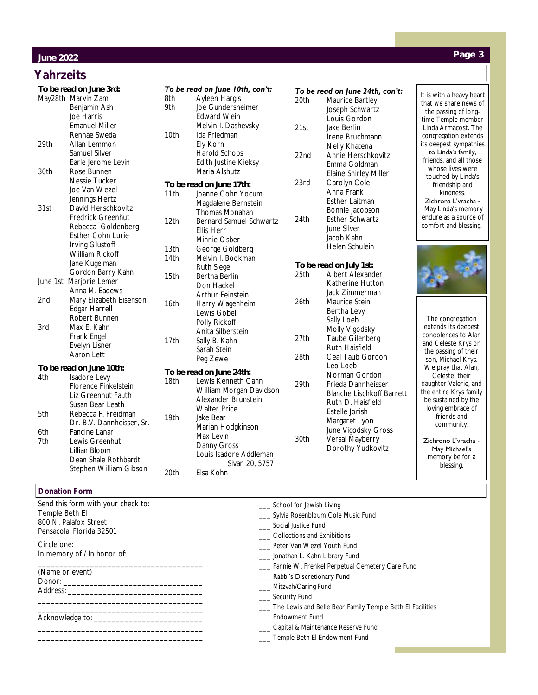### **June 2022**

### **Yahrzeits**

Send this form with your check to:

\_\_\_\_\_\_\_\_\_\_\_\_\_\_\_\_\_\_\_\_\_\_\_\_\_\_\_\_\_\_\_\_\_\_\_\_\_\_

\_\_\_\_\_\_\_\_\_\_\_\_\_\_\_\_\_\_\_\_\_\_\_\_\_\_\_\_\_\_\_\_\_\_\_\_\_\_ \_\_\_\_\_\_\_\_\_\_\_\_\_\_\_\_\_\_\_\_\_\_\_\_\_\_\_\_\_\_\_\_\_\_\_\_\_\_

\_\_\_\_\_\_\_\_\_\_\_\_\_\_\_\_\_\_\_\_\_\_\_\_\_\_\_\_\_\_\_\_\_\_\_\_\_\_ \_\_\_\_\_\_\_\_\_\_\_\_\_\_\_\_\_\_\_\_\_\_\_\_\_\_\_\_\_\_\_\_\_\_\_\_\_\_

In memory of / In honor of:

Temple Beth El 800 N. Palafox Street Pensacola, Florida 32501

(Name or event) Donor: Address:

Acknowledge to: \_\_\_\_\_\_\_\_\_\_\_\_\_\_\_\_\_\_\_\_\_\_\_\_\_

Circle one:

| To be read on June 3rd: |                                                                                                                                        | To be read on June 10th, con't: |                                                                                                                                                 | To be read on June 24th, con't: |                                                                                                                 |                                                                                                                            |
|-------------------------|----------------------------------------------------------------------------------------------------------------------------------------|---------------------------------|-------------------------------------------------------------------------------------------------------------------------------------------------|---------------------------------|-----------------------------------------------------------------------------------------------------------------|----------------------------------------------------------------------------------------------------------------------------|
|                         | May28th Marvin Zam<br>Benjamin Ash<br>Joe Harris<br><b>Emanuel Miller</b>                                                              | 8th<br>9th                      | Ayleen Hargis<br>Joe Gundersheimer<br>Edward Wein<br>Melvin I. Dashevsky                                                                        | 20th<br>21st                    | Maurice Bartley<br>Joseph Schwartz<br>Louis Gordon<br>Jake Berlin                                               | It is with a heavy heart<br>that we share news of<br>the passing of long-<br>time Temple member<br>Linda Armacost. The     |
| 29th                    | Rennae Sweda<br>Allan Lemmon<br>Samuel Silver<br>Earle Jerome Levin                                                                    | 10th                            | Ida Friedman<br>Ely Korn<br>Harold Schops<br>Edith Justine Kieksy                                                                               | 22 <sub>nd</sub>                | Irene Bruchmann<br>Nelly Khatena<br>Annie Herschkovitz<br>Emma Goldman                                          | congregation extends<br>its deepest sympathies<br>to Linda's family,<br>friends, and all those                             |
| 30th                    | Rose Bunnen                                                                                                                            |                                 | Maria Alshutz                                                                                                                                   |                                 | Elaine Shirley Miller                                                                                           | whose lives were<br>touched by Linda's                                                                                     |
| 31st                    | Nessie Tucker<br>Joe Van Wezel<br>Jennings Hertz<br>David Herschkovitz<br>Fredrick Greenhut<br>Rebecca Goldenberg<br>Esther Cohn Lurie | 11th<br>12th                    | To be read on June 17th:<br>Joanne Cohn Yocum<br>Magdalene Bernstein<br>Thomas Monahan<br>Bernard Samuel Schwartz<br>Ellis Herr<br>Minnie Osber | 23rd<br>24th                    | Carolyn Cole<br>Anna Frank<br>Esther Laitman<br>Bonnie Jacobson<br>Esther Schwartz<br>June Silver<br>Jacob Kahn | friendship and<br>kindness.<br>Zichrona L'vracha -<br>May Linda's memory<br>endure as a source of<br>comfort and blessing. |
|                         | Irving Glustoff<br>William Rickoff<br>Jane Kugelman<br>Gordon Barry Kahn                                                               | 13th<br>14th                    | George Goldberg<br>Melvin I. Bookman<br>Ruth Siegel                                                                                             | 25th                            | Helen Schulein<br>To be read on July 1st:<br>Albert Alexander                                                   |                                                                                                                            |
|                         | June 1st Marjorie Lemer<br>Anna M. Eadews                                                                                              | 15th                            | Bertha Berlin<br>Don Hackel<br>Arthur Feinstein                                                                                                 |                                 | Katherine Hutton<br>Jack Zimmerman                                                                              |                                                                                                                            |
| 2nd<br>3rd              | Mary Elizabeth Eisenson<br>Edgar Harrell<br>Robert Bunnen<br>Max E. Kahn                                                               | 16th                            | Harry Wagenheim<br>Lewis Gobel<br>Polly Rickoff<br>Anita Silberstein                                                                            | 26th                            | Maurice Stein<br>Bertha Levy<br>Sally Loeb<br>Molly Vigodsky                                                    | The congregation<br>extends its deepest                                                                                    |
|                         | Frank Engel<br>Evelyn Lisner<br>Aaron Lett                                                                                             | 17th                            | Sally B. Kahn<br>Sarah Stein                                                                                                                    | 27th<br>28th                    | Taube Gilenberg<br>Ruth Haisfield<br>Ceal Taub Gordon                                                           | condolences to Alan<br>and Celeste Krys on<br>the passing of their                                                         |
|                         | To be read on June 10th:                                                                                                               |                                 | Peg Zewe                                                                                                                                        |                                 | Leo Loeb                                                                                                        | son, Michael Krys.<br>We pray that Alan,                                                                                   |
| 4th                     | Isadore Levy<br>Florence Finkelstein<br>Liz Greenhut Fauth<br>Susan Bear Leath                                                         | 18th                            | To be read on June 24th:<br>Lewis Kenneth Cahn<br>William Morgan Davidson<br>Alexander Brunstein<br><b>Walter Price</b>                         | 29th                            | Norman Gordon<br>Frieda Dannheisser<br>Blanche Lischkoff Barrett<br>Ruth D. Haisfield                           | Celeste, their<br>daughter Valerie, and<br>the entire Krys family<br>be sustained by the<br>loving embrace of              |
| 5th                     | Rebecca F. Freidman<br>Dr. B.V. Dannheisser, Sr.                                                                                       | 19th                            | Jake Bear<br>Marian Hodgkinson                                                                                                                  |                                 | Estelle Jorish<br>Margaret Lyon                                                                                 | friends and<br>community.                                                                                                  |
| 6th<br>7th              | Fancine Lanar<br>Lewis Greenhut<br>Lillian Bloom<br>Dean Shale Rothbardt<br>Stephen William Gibson                                     | 20th                            | Max Levin<br>Danny Gross<br>Louis Isadore Addleman<br>Sivan 20, 5757<br>Elsa Kohn                                                               | 30th                            | June Vigodsky Gross<br>Versal Mayberry<br>Dorothy Yudkovitz                                                     | Zichrono L'vracha -<br>May Michael's<br>memory be for a<br>blessing.                                                       |
|                         |                                                                                                                                        |                                 |                                                                                                                                                 |                                 |                                                                                                                 |                                                                                                                            |
|                         | <b>Donation Form</b>                                                                                                                   |                                 |                                                                                                                                                 |                                 |                                                                                                                 |                                                                                                                            |

# **Page 3**

\_\_\_ School for Jewish Living \_\_\_ Sylvia Rosenbloum Cole Music Fund \_\_\_ Social Justice Fund \_\_\_ Collections and Exhibitions \_\_\_ Peter Van Wezel Youth Fund \_\_\_ Jonathan L. Kahn Library Fund \_\_\_ Fannie W. Frenkel Perpetual Cemetery Care Fund \_\_\_ Rabbi's Discretionary Fund

- \_\_\_ Mitzvah/Caring Fund
- \_\_\_ Security Fund
- \_\_\_ The Lewis and Belle Bear Family Temple Beth El Facilities Endowment Fund
- \_\_\_ Capital & Maintenance Reserve Fund
- \_\_\_ Temple Beth El Endowment Fund